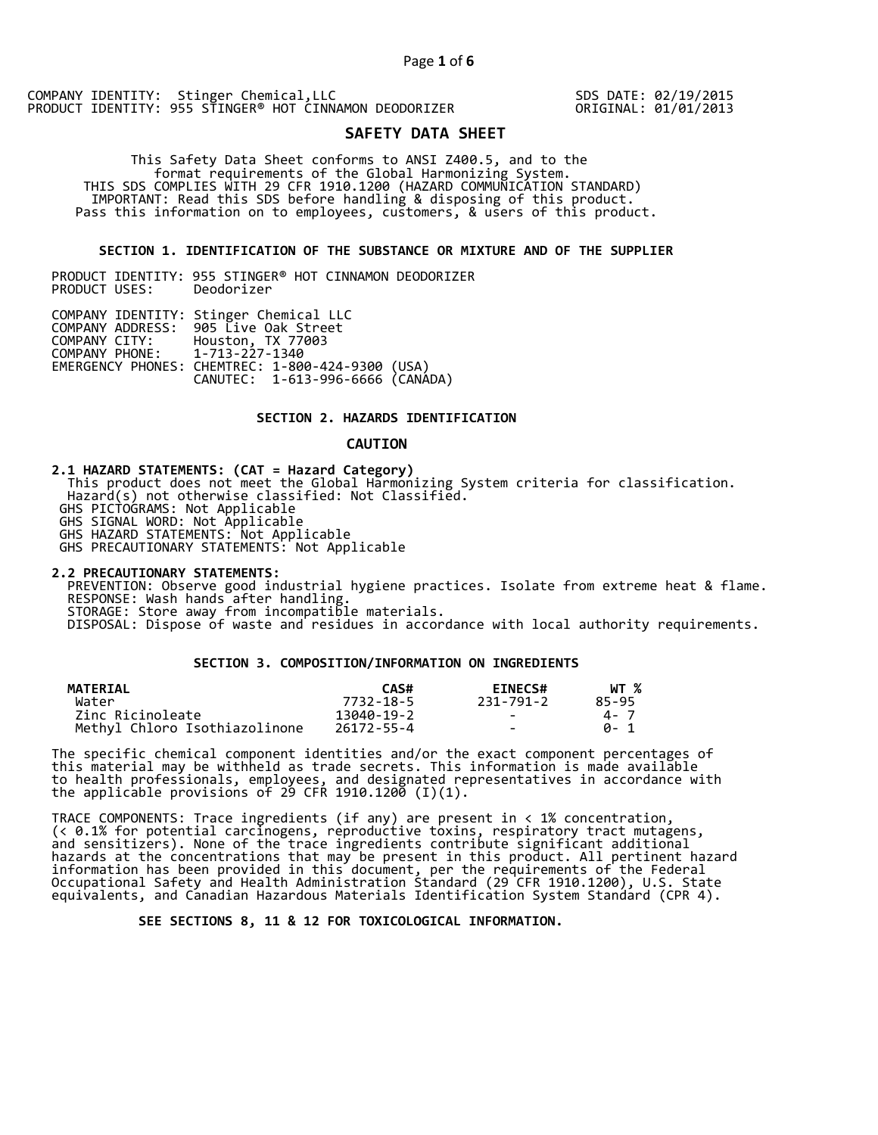SDS DATE: 02/19/2015 ORIGINAL: 01/01/2013

# **SAFETY DATA SHEET**

 This Safety Data Sheet conforms to ANSI Z400.5, and to the format requirements of the Global Harmonizing System. THIS SDS COMPLIES WITH 29 CFR 1910.1200 (HAZARD COMMUNICATION STANDARD) IMPORTANT: Read this SDS before handling & disposing of this product. Pass this information on to employees, customers, & users of this product.

#### **SECTION 1. IDENTIFICATION OF THE SUBSTANCE OR MIXTURE AND OF THE SUPPLIER**

PRODUCT IDENTITY: 955 STINGER® HOT CINNAMON DEODORIZER PRODUCT USES:

|                               | COMPANY IDENTITY: Stinger Chemical LLC           |  |
|-------------------------------|--------------------------------------------------|--|
|                               | COMPANY ADDRESS: 905 Live Oak Street             |  |
| COMPANY CITY:                 | Houston, TX 77003                                |  |
| COMPANY PHONE: 1-713-227-1340 |                                                  |  |
|                               | EMERGENCY PHONES: CHEMTREC: 1-800-424-9300 (USA) |  |
|                               | CANUTEC: 1-613-996-6666 (CANADA)                 |  |

## **SECTION 2. HAZARDS IDENTIFICATION**

#### **CAUTION**

**2.1 HAZARD STATEMENTS: (CAT = Hazard Category)** This product does not meet the Global Harmonizing System criteria for classification. Hazard(s) not otherwise classified: Not Classified. GHS PICTOGRAMS: Not Applicable GHS SIGNAL WORD: Not Applicable GHS HAZARD STATEMENTS: Not Applicable GHS PRECAUTIONARY STATEMENTS: Not Applicable

**2.2 PRECAUTIONARY STATEMENTS:**  PREVENTION: Observe good industrial hygiene practices. Isolate from extreme heat & flame. RESPONSE: Wash hands after handling. STORAGE: Store away from incompatible materials. DISPOSAL: Dispose of waste and residues in accordance with local authority requirements.

## **SECTION 3. COMPOSITION/INFORMATION ON INGREDIENTS**

| <b>MATERIAL</b>               | CAS#       | <b>EINECS#</b> | WT %  |
|-------------------------------|------------|----------------|-------|
| Water                         | 7732-18-5  | 231-791-2      | 85-95 |
| Zinc Ricinoleate              | 13040-19-2 | $\sim$         | 4 - 7 |
| Methyl Chloro Isothiazolinone | 26172-55-4 | $\sim$         | A- 1  |

The specific chemical component identities and/or the exact component percentages of this material may be withheld as trade secrets. This information is made available to health professionals, employees, and designated representatives in accordance with the applicable provisions of 29 CFR 1910.1200̄ (I)(1).  $\overline{\phantom{a}}$ 

TRACE COMPONENTS: Trace ingredients (if any) are present in < 1% concentration, (< 0.1% for potential carcinogens, reproductive toxins, respiratory tract mutagens, and sensitizers). None of the trace ingredients contribute significant additional hazards at the concentrations that may be present in this product. All pertinent hazard information has been provided in this document, per the requirements of the Federal Occupational Safety and Health Administration Standard (29 CFR 1910.1200), U.S. State equivalents, and Canadian Hazardous Materials Identification System Standard (CPR 4).

 **SEE SECTIONS 8, 11 & 12 FOR TOXICOLOGICAL INFORMATION.**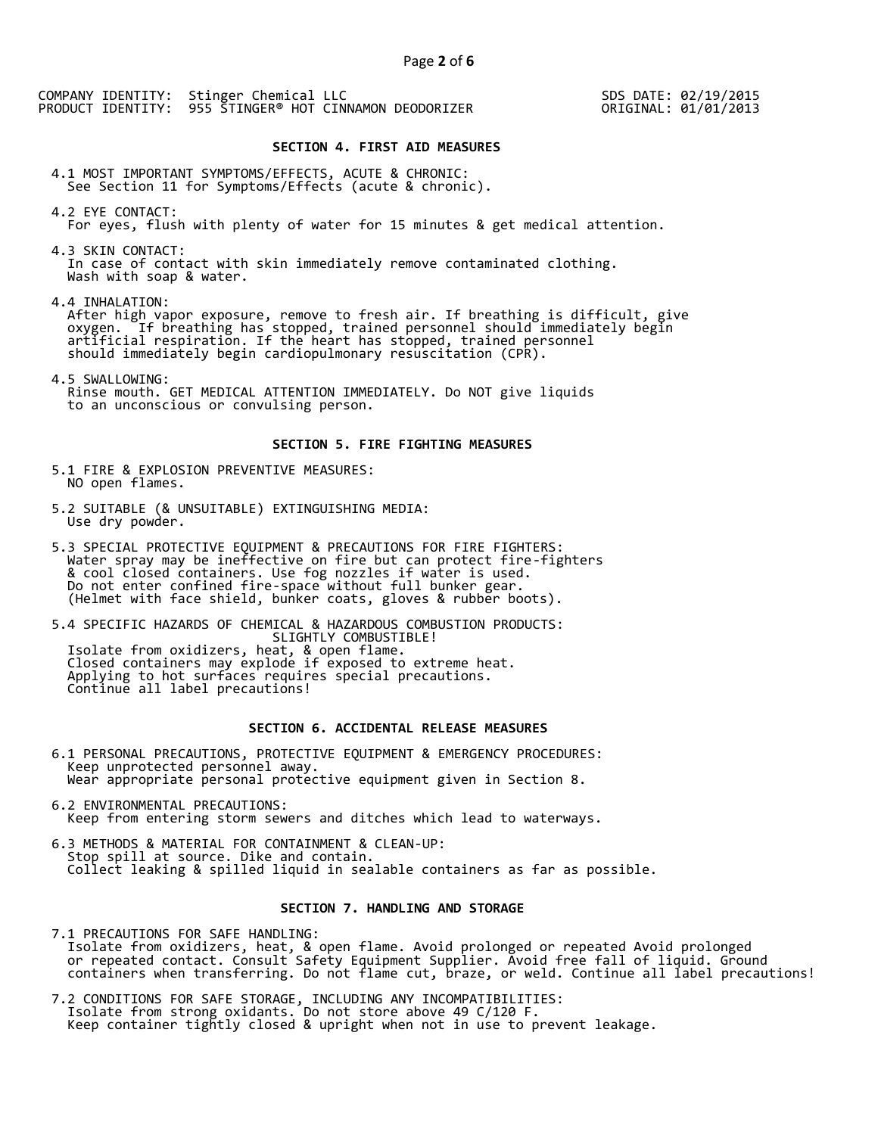SDS DATE: 02/19/2015 ORIGINAL: 01/01/2013

## **SECTION 4. FIRST AID MEASURES**

4.1 MOST IMPORTANT SYMPTOMS/EFFECTS, ACUTE & CHRONIC: See Section 11 for Symptoms/Effects (acute & chronic).

4.2 EYE CONTACT: For eyes, flush with plenty of water for 15 minutes & get medical attention.

4.3 SKIN CONTACT: In case of contact with skin immediately remove contaminated clothing. Wash with soap & water.

4.4 INHALATION:

 After high vapor exposure, remove to fresh air. If breathing is difficult, give oxygen. If breathing has stopped, trained personnel should immediately begin artificial respiration. If the heart has stopped, trained personnel should immediately begin cardiopulmonary resuscitation (CPR).

4.5 SWALLOWING: Rinse mouth. GET MEDICAL ATTENTION IMMEDIATELY. Do NOT give liquids to an unconscious or convulsing person.

#### **SECTION 5. FIRE FIGHTING MEASURES**

5.1 FIRE & EXPLOSION PREVENTIVE MEASURES: NO open flames.

- 5.2 SUITABLE (& UNSUITABLE) EXTINGUISHING MEDIA: Use dry powder.
- 5.3 SPECIAL PROTECTIVE EQUIPMENT & PRECAUTIONS FOR FIRE FIGHTERS: Water spray may be ineffective on fire but can protect fire-fighters & cool closed containers. Use fog nozzles if water is used. Do not enter confined fire-space without full bunker gear. (Helmet with face shield, bunker coats, gloves & rubber boots).

5.4 SPECIFIC HAZARDS OF CHEMICAL & HAZARDOUS COMBUSTION PRODUCTS: SLIGHTLY COMBUSTIBLE! Isolate from oxidizers, heat, & open flame. Closed containers may explode if exposed to extreme heat. Applying to hot surfaces requires special precautions. Continue all label precautions!

# **SECTION 6. ACCIDENTAL RELEASE MEASURES**

- 6.1 PERSONAL PRECAUTIONS, PROTECTIVE EQUIPMENT & EMERGENCY PROCEDURES: Keep unprotected personnel away. Wear appropriate personal protective equipment given in Section 8.
- 6.2 ENVIRONMENTAL PRECAUTIONS: Keep from entering storm sewers and ditches which lead to waterways.
- 6.3 METHODS & MATERIAL FOR CONTAINMENT & CLEAN-UP: Stop spill at source. Dike and contain. Collect leaking & spilled liquid in sealable containers as far as possible.

#### **SECTION 7. HANDLING AND STORAGE**

7.1 PRECAUTIONS FOR SAFE HANDLING: Isolate from oxidizers, heat, & open flame. Avoid prolonged or repeated Avoid prolonged or repeated contact. Consult Safety Equipment Supplier. Avoid free fall of liquid. Ground containers when transferring. Do not flame cut, braze, or weld. Continue all label precautions!

7.2 CONDITIONS FOR SAFE STORAGE, INCLUDING ANY INCOMPATIBILITIES: Isolate from strong oxidants. Do not store above 49 C/120 F. Keep container tightly closed & upright when not in use to prevent leakage.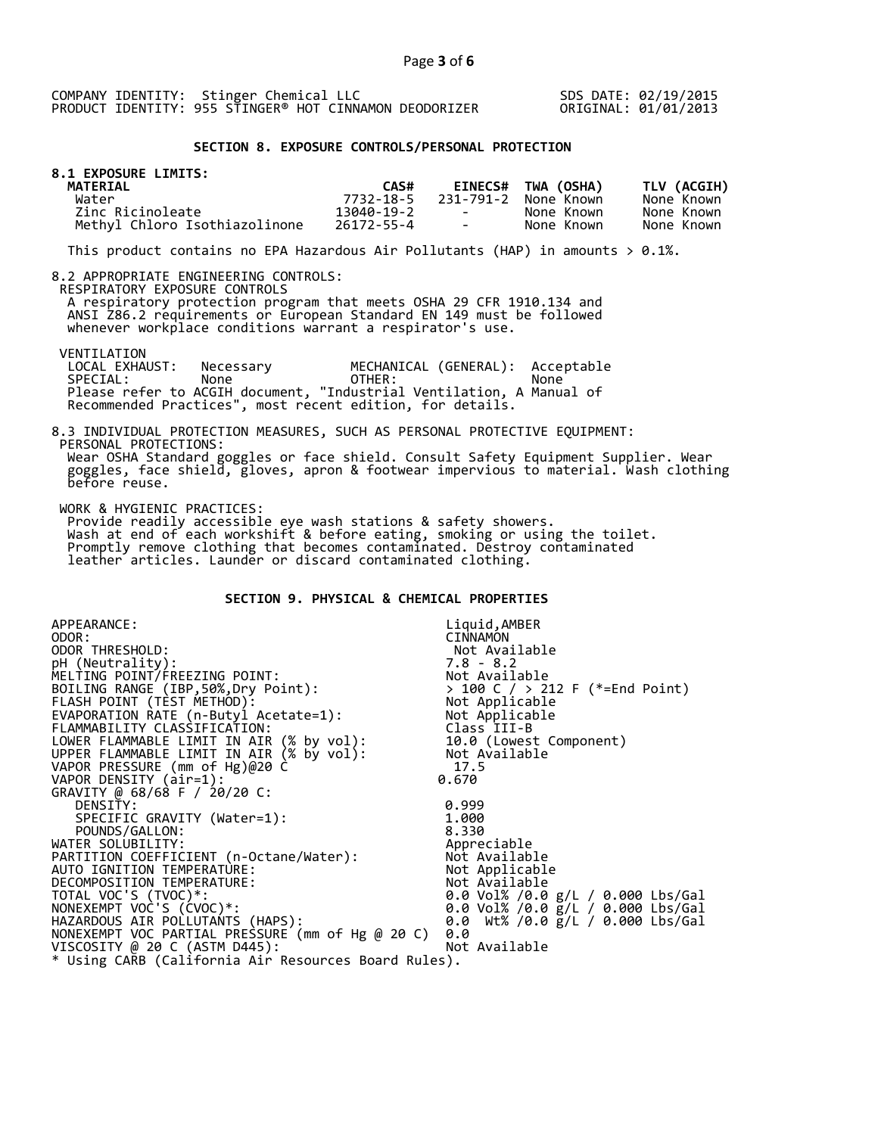SDS DATE: 02/19/2015 ORIGINAL: 01/01/2013

#### **SECTION 8. EXPOSURE CONTROLS/PERSONAL PROTECTION**

| <b>8.1 EXPOSURE LIMITS:</b><br><b>MATERIAL</b> | CAS#       |                                   | <b>EINECS# TWA (OSHA)</b> | TLV (ACGIH) |
|------------------------------------------------|------------|-----------------------------------|---------------------------|-------------|
| Water                                          | 7732-18-5  |                                   | 231-791-2 None Known      | None Known  |
| Zinc Ricinoleate                               | 13040-19-2 | <b>Contract Contract Contract</b> | None Known                | None Known  |
| Methyl Chloro Isothiazolinone                  | 26172-55-4 | the control of the con-           | None Known                | None Known  |

This product contains no EPA Hazardous Air Pollutants (HAP) in amounts  $> 0.1\%$ .

#### 8.2 APPROPRIATE ENGINEERING CONTROLS:

RESPIRATORY EXPOSURE CONTROLS

 A respiratory protection program that meets OSHA 29 CFR 1910.134 and ANSI Z86.2 requirements or European Standard EN 149 must be followed whenever workplace conditions warrant a respirator's use.

# VENTILATION<br>LOCAL EXHAUST:

before reuse.

 LOCAL EXHAUST: Necessary MECHANICAL (GENERAL): Acceptable SPECIAL: None OTHER: None Please refer to ACGIH document, "Industrial Ventilation, A Manual of Recommended Practices", most recent edition, for details.

#### 8.3 INDIVIDUAL PROTECTION MEASURES, SUCH AS PERSONAL PROTECTIVE EQUIPMENT: PERSONAL PROTECTIONS: Wear OSHA Standard goggles or face shield. Consult Safety Equipment Supplier. Wear goggles, face shield, gloves, apron & footwear impervious to material. Wash clothing

WORK & HYGIENIC PRACTICES:

 Provide readily accessible eye wash stations & safety showers. Wash at end of each workshift & before eating, smoking or using the toilet. Promptly remove clothing that becomes contaminated. Destroy contaminated leather articles. Launder or discard contaminated clothing.

# **SECTION 9. PHYSICAL & CHEMICAL PROPERTIES**

| APPEARANCE:                                          | Liquid, AMBER                                                                     |
|------------------------------------------------------|-----------------------------------------------------------------------------------|
| ODOR:                                                | <b>CINNAMON</b>                                                                   |
| ODOR THRESHOLD:                                      | Not Available                                                                     |
| pH (Neutrality):                                     |                                                                                   |
| MELTING POINT/FREEZING POINT:                        |                                                                                   |
| BOILING RANGE (IBP, 50%, Dry Point):                 | > 100 C / > 212 F (*=End Point)                                                   |
| FLASH POINT (TÈST METHOD):                           | 7.8 - 8.2<br>Not Available<br>> 100 C / > 212<br>Not Applicable<br>''' Applicable |
| EVAPORATION RATE (n-Butyl Acetate=1):                | Not Applicable                                                                    |
| FLAMMABILITY CLASSIFICATION:                         | Class III-B                                                                       |
| LOWER FLAMMABLE LIMIT IN AIR (% by vol):             | 10.0 (Lowest Component)                                                           |
| UPPER FLAMMABLE LIMIT IN AIR (% by vol):             | Not Available                                                                     |
| VAPOR PRESSURE (mm of Hg)@20 C                       | 17.5                                                                              |
| VAPOR DENSITY (air=1):                               | 0.670                                                                             |
| GRAVITY @ 68/68 F / 20/20 C:                         |                                                                                   |
| DENSITY:                                             | 0.999                                                                             |
| SPECIFIC GRAVITY (Water=1):                          | 1.000                                                                             |
| POUNDS/GALLON:                                       | 8.330                                                                             |
| WATER SOLUBILITY:                                    | Appreciable                                                                       |
| PARTITION COEFFICIENT (n-Octane/Water):              | Not Available                                                                     |
| AUTO IGNITION TEMPERATURE:                           | Not Applicable                                                                    |
| DECOMPOSITION TEMPERATURE:                           | Not Available                                                                     |
| TOTAL VOC'S (TVOC)*:                                 | 0.0 Vol% /0.0 g/L / 0.000 Lbs/Gal                                                 |
| NONEXEMPT VOC'S (CVOC)*:                             | 0.0 Vol% /0.0 g/L / 0.000 Lbs/Gal                                                 |
| HAZARDOUS AIR POLLUTANTS (HAPS):                     | 0.0 Wt% /0.0 g/L / 0.000 Lbs/Gal                                                  |
| NONEXEMPT VOC PARTIAL PRESSURE (mm of Hg @ 20 C)     | 0.0                                                                               |
| VISCOSITY @ 20 C (ASTM D445):                        | Not Available                                                                     |
| * Using CARB (California Air Resources Board Rules). |                                                                                   |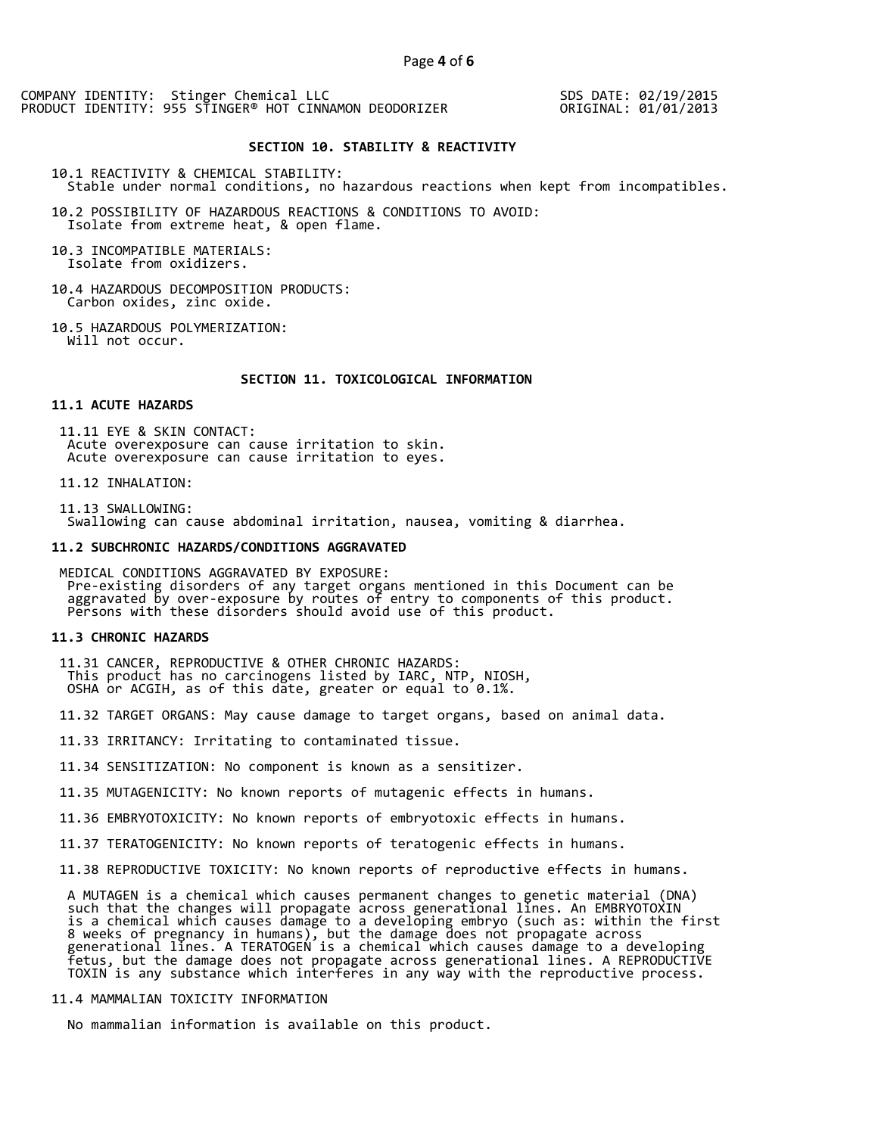SDS DATE: 02/19/2015 ORIGINAL: 01/01/2013

## **SECTION 10. STABILITY & REACTIVITY**

10.1 REACTIVITY & CHEMICAL STABILITY: Stable under normal conditions, no hazardous reactions when kept from incompatibles.

10.2 POSSIBILITY OF HAZARDOUS REACTIONS & CONDITIONS TO AVOID: Isolate from extreme heat, & open flame.

10.3 INCOMPATIBLE MATERIALS: Isolate from oxidizers.

10.4 HAZARDOUS DECOMPOSITION PRODUCTS: Carbon oxides, zinc oxide.

10.5 HAZARDOUS POLYMERIZATION: Will not occur.

#### **SECTION 11. TOXICOLOGICAL INFORMATION**

#### **11.1 ACUTE HAZARDS**

 11.11 EYE & SKIN CONTACT: Acute overexposure can cause irritation to skin. Acute overexposure can cause irritation to eyes.

11.12 INHALATION:

 11.13 SWALLOWING: Swallowing can cause abdominal irritation, nausea, vomiting & diarrhea.

#### **11.2 SUBCHRONIC HAZARDS/CONDITIONS AGGRAVATED**

 MEDICAL CONDITIONS AGGRAVATED BY EXPOSURE: Pre-existing disorders of any target organs mentioned in this Document can be aggravated by over-exposure by routes of entry to components of this product. Persons with these disorders should avoid use of this product.

#### **11.3 CHRONIC HAZARDS**

 11.31 CANCER, REPRODUCTIVE & OTHER CHRONIC HAZARDS: This product has no carcinogens listed by IARC, NTP, NIOSH, OSHA or ACGIH, as of this date, greater or equal to 0.1%.

11.32 TARGET ORGANS: May cause damage to target organs, based on animal data.

11.33 IRRITANCY: Irritating to contaminated tissue.

11.34 SENSITIZATION: No component is known as a sensitizer.

11.35 MUTAGENICITY: No known reports of mutagenic effects in humans.

11.36 EMBRYOTOXICITY: No known reports of embryotoxic effects in humans.

11.37 TERATOGENICITY: No known reports of teratogenic effects in humans.

11.38 REPRODUCTIVE TOXICITY: No known reports of reproductive effects in humans.

 A MUTAGEN is a chemical which causes permanent changes to genetic material (DNA) such that the changes will propagate across generational lines. An EMBRYOTOXIN is a chemical which causes damage to a developing embryo (such as: within the first 8 weeks of pregnancy in humans), but the damage does not propagate across generational lines. A TERATOGEN is a chemical which causes damage to a developing fetus, but the damage does not propagate across generational lines. A REPRODUCTIVE TOXIN is any substance which interferes in any way with the reproductive process.

# 11.4 MAMMALIAN TOXICITY INFORMATION

No mammalian information is available on this product.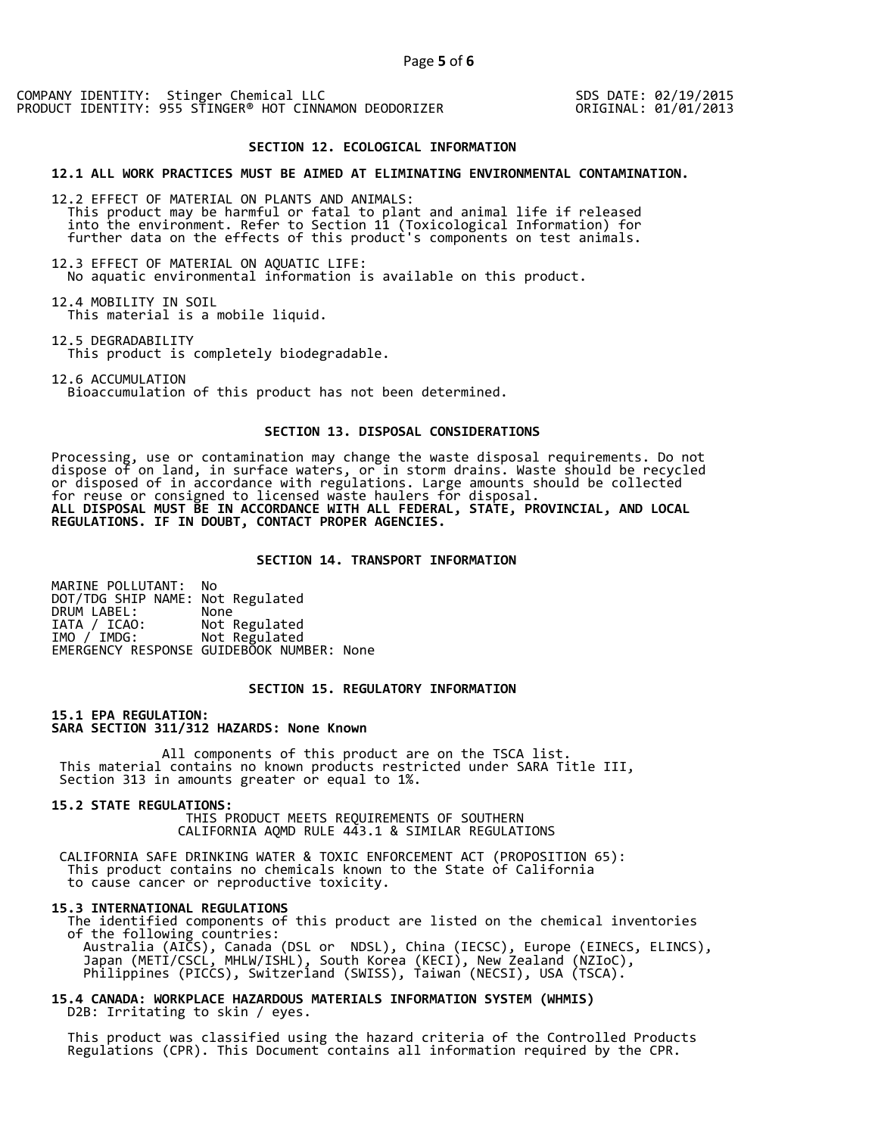SDS DATE: 02/19/2015 ORIGINAL: 01/01/2013

#### **SECTION 12. ECOLOGICAL INFORMATION**

#### **12.1 ALL WORK PRACTICES MUST BE AIMED AT ELIMINATING ENVIRONMENTAL CONTAMINATION.**

12.2 EFFECT OF MATERIAL ON PLANTS AND ANIMALS: This product may be harmful or fatal to plant and animal life if released into the environment. Refer to Section 11 (Toxicological Information) for further data on the effects of this product's components on test animals.

12.3 EFFECT OF MATERIAL ON AQUATIC LIFE: No aquatic environmental information is available on this product.

12.4 MOBILITY IN SOIL This material is a mobile liquid.

12.5 DEGRADABILITY This product is completely biodegradable.

12.6 ACCUMULATION

Bioaccumulation of this product has not been determined.

## **SECTION 13. DISPOSAL CONSIDERATIONS**

Processing, use or contamination may change the waste disposal requirements. Do not dispose of on land, in surface waters, or in storm drains. Waste should be recycled or disposed of in accordance with regulations. Large amounts should be collected for reuse or consigned to licensed waste haulers for disposal. **ALL DISPOSAL MUST BE IN ACCORDANCE WITH ALL FEDERAL, STATE, PROVINCIAL, AND LOCAL REGULATIONS. IF IN DOUBT, CONTACT PROPER AGENCIES.** 

#### **SECTION 14. TRANSPORT INFORMATION**

MARINE POLLUTANT: No DOT/TDG SHIP NAME: Not Regulated DRUM LABEL:<br>IATA / ICAO: IATA / ICAO: Not Regulated<br>IMO / IMDG: Not Regulated Not Regulated EMERGENCY RESPONSE GUIDEBOOK NUMBER: None

## **SECTION 15. REGULATORY INFORMATION**

**15.1 EPA REGULATION: SARA SECTION 311/312 HAZARDS: None Known** 

All components of this product are on the TSCA list. This material contains no known products restricted under SARA Title III, Section 313 in amounts greater or equal to 1%.

**15.2 STATE REGULATIONS:**

 THIS PRODUCT MEETS REQUIREMENTS OF SOUTHERN CALIFORNIA AQMD RULE 443.1 & SIMILAR REGULATIONS

 CALIFORNIA SAFE DRINKING WATER & TOXIC ENFORCEMENT ACT (PROPOSITION 65): This product contains no chemicals known to the State of California to cause cancer or reproductive toxicity.

#### **15.3 INTERNATIONAL REGULATIONS**

 The identified components of this product are listed on the chemical inventories of the following countries: Australia (AICS), Canada (DSL or NDSL), China (IECSC), Europe (EINECS, ELINCS), Japan (METI/CSCL, MHLW/ISHL), South Korea (KECI), New Zealand (NZIoC), Philippines (PICCS), Switzerland (SWISS), Taiwan (NECSI), USA (TSCA).

**15.4 CANADA: WORKPLACE HAZARDOUS MATERIALS INFORMATION SYSTEM (WHMIS)**  D2B: Irritating to skin / eyes.

 This product was classified using the hazard criteria of the Controlled Products Regulations (CPR). This Document contains all information required by the CPR.